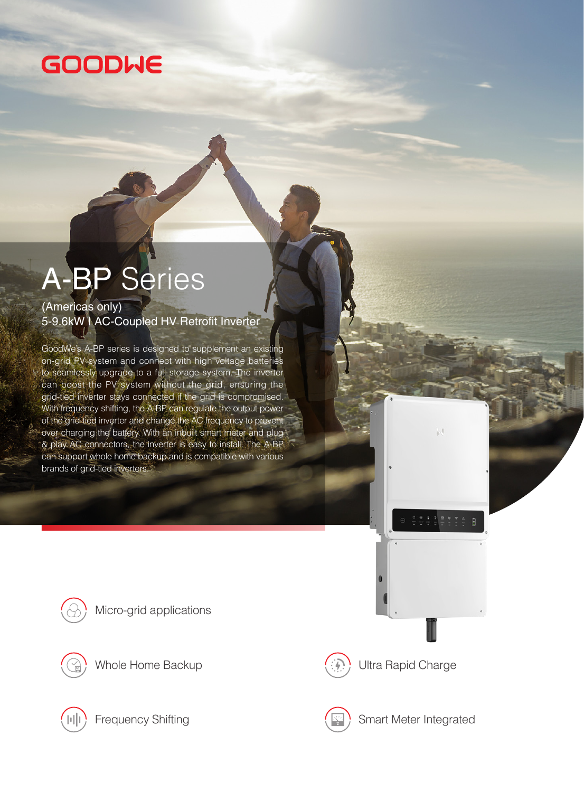## **GOODWE**

# A-BP Series

#### (Americas only) 5-9.6kW I AC-Coupled HV Retrofit Inverter

GoodWe's A-BP series is designed to supplement an existing on-grid PV system and connect with high voltage batteries to seamlessly upgrade to a full storage system. The inverter can boost the PV system without the grid, ensuring the grid-tied inverter stays connected if the grid is compromised. With frequency shifting, the A-BP can regulate the output power of the grid-tied inverter and change the AC frequency to prevent over charging the battery. With an inbuilt smart meter and plug & play AC connectors, the inverter is easy to install. The A-BP can support whole home backup and is compatible with various brands of grid-tied inverters.







Whole Home Backup  $\left(\mathbb{R}\right)$  Ultra Rapid Charge





Frequency Shifting State of Smart Meter Integrated

M